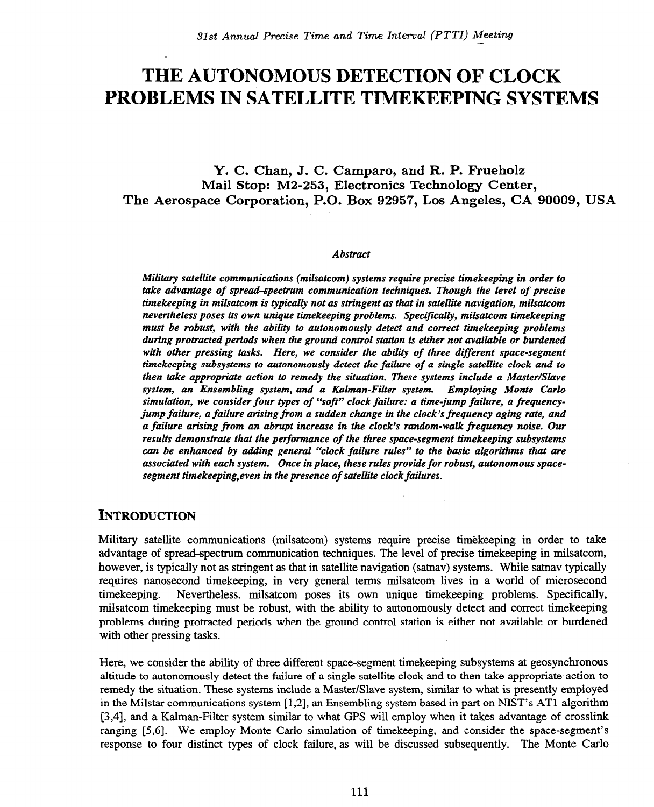# **THE AUTONOMOUS DETECTION OF CLOCK PROBLEMS IN SATELLITE TIMEKEEPING SYSTEMS**

# **Y. C. Chan, J. C. Camparo, and R. P. F'rueholz Mail Stop: M2-253, Electronics Technology Center, The Aerospace Corporation, P.O. Box 92957, Los Angeles, CA 90009, USA**

#### *Abstract*

*Military satellite communications (milsatcom) systems require precise timekeeping in order to take advantage of spread-spectrum communication techniques. Though the level of precise timekeeping in milsatcom is typically not as stringent as that in satellite navigation, milsatcom nevertheless poses its own unique timekeeping problems. Specifically, milsatcom timekeeping must be robust, with the ability to autonomously detect and correct timekeeping problems during protracted periods when the ground control station is either not available or burdened with other pressing tasks. Here, we consider the ability of three different space-segment timekeeping subsystems to autonomously detect the failure of a single satellite clock and to then take appropriate action to remedy the situation. These systems include a Master/Slave system, an Ensembling system, and a Kalman-Filter system. Employing Monte Carlo simulation, we consider four types of "soft" clock failure: a time-jump failure, a frequencyjump failure, a failure arising from a sudden change in the clock's frequency aging rate, and a failure arising from an abrupt increase in the clock's random-walk frequency noise. Our results demonstrate that the performance of the three space-segment timekeeping subsystems can be enhanced by adding general "clock failure rules" to the basic algorithms that are associated with each system. Once in place, these rules provide for robust, autonomous spacesegment timekeeping,even in the presence of satellite clock failures.* 

# **INTRODUCTION**

Military satellite communications (milsatcom) systems require precise timekeeping in order to take advantage of spread~pectrum communication techniques. The level of precise timekeeping in milsatcom, however, is typically not as stringent as that in satellite navigation (satnav) systems. While satnav typically requires nanosecond timekeeping, in very general terms milsatcom lives in a world of microsecond timekeeping. Nevertheless, milsatcom poses its own unique timekeeping problems. Specifically, milsatcom timekeeping must be robust, with the ability to autonomously detect and correct timekeeping problems during protracted periods when the ground control station is either not available or burdened with other pressing tasks.

Here, we consider the ability of three different space-segment timekeeping subsystems at geosynchronous altitude to autonomously detect the failure of a single satellite clock and to then take appropriate action to remedy the situation. These systems include a Master/Slave system, similar to what is presently employed in the Milstar communications system [1,2], an Ensembling system based in part on NIST's AT1 algorithm [3,4], and a Kalman-Filter system similar to what GPS will employ when it takes advantage of crosslink ranging [5,6]. We employ Monte Carlo simulation of timekeeping, and consider the space-segment's response to four distinct types of clock failure, as will be discussed subsequently. The Monte Carlo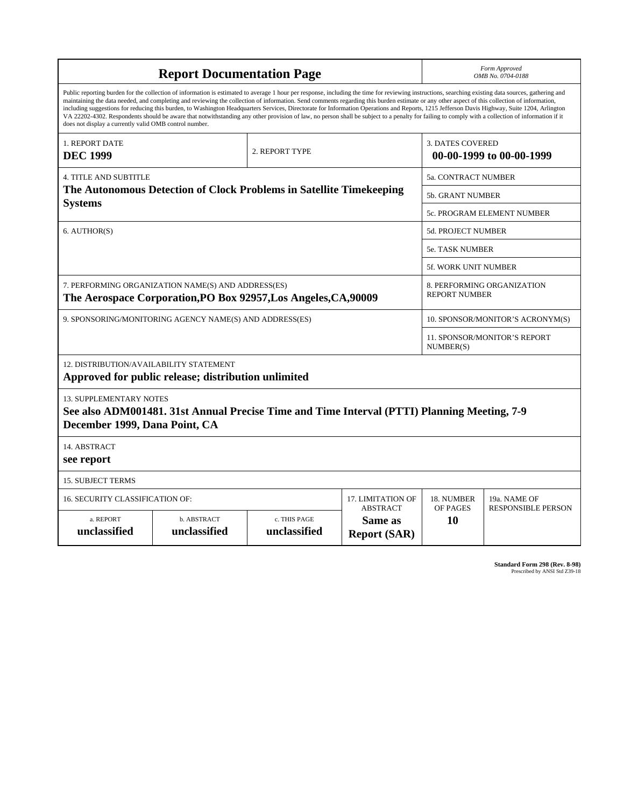| <b>Report Documentation Page</b>                                                                                                                                                                                                                                                                                                                                                                                                                                                                                                                                                                                                                                                                                                                                                                                                                                   |                             |                              |                                                   | Form Approved<br>OMB No. 0704-0188                  |                           |
|--------------------------------------------------------------------------------------------------------------------------------------------------------------------------------------------------------------------------------------------------------------------------------------------------------------------------------------------------------------------------------------------------------------------------------------------------------------------------------------------------------------------------------------------------------------------------------------------------------------------------------------------------------------------------------------------------------------------------------------------------------------------------------------------------------------------------------------------------------------------|-----------------------------|------------------------------|---------------------------------------------------|-----------------------------------------------------|---------------------------|
| Public reporting burden for the collection of information is estimated to average 1 hour per response, including the time for reviewing instructions, searching existing data sources, gathering and<br>maintaining the data needed, and completing and reviewing the collection of information. Send comments regarding this burden estimate or any other aspect of this collection of information,<br>including suggestions for reducing this burden, to Washington Headquarters Services, Directorate for Information Operations and Reports, 1215 Jefferson Davis Highway, Suite 1204, Arlington<br>VA 22202-4302. Respondents should be aware that notwithstanding any other provision of law, no person shall be subject to a penalty for failing to comply with a collection of information if it<br>does not display a currently valid OMB control number. |                             |                              |                                                   |                                                     |                           |
| 1. REPORT DATE<br><b>DEC 1999</b>                                                                                                                                                                                                                                                                                                                                                                                                                                                                                                                                                                                                                                                                                                                                                                                                                                  |                             | 2. REPORT TYPE               |                                                   | <b>3. DATES COVERED</b><br>00-00-1999 to 00-00-1999 |                           |
| <b>4. TITLE AND SUBTITLE</b>                                                                                                                                                                                                                                                                                                                                                                                                                                                                                                                                                                                                                                                                                                                                                                                                                                       |                             |                              |                                                   | <b>5a. CONTRACT NUMBER</b>                          |                           |
| The Autonomous Detection of Clock Problems in Satellite Timekeeping<br><b>Systems</b>                                                                                                                                                                                                                                                                                                                                                                                                                                                                                                                                                                                                                                                                                                                                                                              |                             |                              |                                                   | <b>5b. GRANT NUMBER</b>                             |                           |
|                                                                                                                                                                                                                                                                                                                                                                                                                                                                                                                                                                                                                                                                                                                                                                                                                                                                    |                             |                              |                                                   | 5c. PROGRAM ELEMENT NUMBER                          |                           |
| 6. AUTHOR(S)                                                                                                                                                                                                                                                                                                                                                                                                                                                                                                                                                                                                                                                                                                                                                                                                                                                       |                             |                              |                                                   | 5d. PROJECT NUMBER                                  |                           |
|                                                                                                                                                                                                                                                                                                                                                                                                                                                                                                                                                                                                                                                                                                                                                                                                                                                                    |                             |                              |                                                   | <b>5e. TASK NUMBER</b>                              |                           |
|                                                                                                                                                                                                                                                                                                                                                                                                                                                                                                                                                                                                                                                                                                                                                                                                                                                                    |                             |                              |                                                   | 5f. WORK UNIT NUMBER                                |                           |
| 7. PERFORMING ORGANIZATION NAME(S) AND ADDRESS(ES)<br>The Aerospace Corporation, PO Box 92957, Los Angeles, CA, 90009                                                                                                                                                                                                                                                                                                                                                                                                                                                                                                                                                                                                                                                                                                                                              |                             |                              |                                                   | 8. PERFORMING ORGANIZATION<br><b>REPORT NUMBER</b>  |                           |
| 9. SPONSORING/MONITORING AGENCY NAME(S) AND ADDRESS(ES)                                                                                                                                                                                                                                                                                                                                                                                                                                                                                                                                                                                                                                                                                                                                                                                                            |                             |                              |                                                   | 10. SPONSOR/MONITOR'S ACRONYM(S)                    |                           |
|                                                                                                                                                                                                                                                                                                                                                                                                                                                                                                                                                                                                                                                                                                                                                                                                                                                                    |                             |                              |                                                   | <b>11. SPONSOR/MONITOR'S REPORT</b><br>NUMBER(S)    |                           |
| 12. DISTRIBUTION/AVAILABILITY STATEMENT<br>Approved for public release; distribution unlimited                                                                                                                                                                                                                                                                                                                                                                                                                                                                                                                                                                                                                                                                                                                                                                     |                             |                              |                                                   |                                                     |                           |
| <b>13. SUPPLEMENTARY NOTES</b><br>See also ADM001481. 31st Annual Precise Time and Time Interval (PTTI) Planning Meeting, 7-9<br>December 1999, Dana Point, CA                                                                                                                                                                                                                                                                                                                                                                                                                                                                                                                                                                                                                                                                                                     |                             |                              |                                                   |                                                     |                           |
| 14. ABSTRACT<br>see report                                                                                                                                                                                                                                                                                                                                                                                                                                                                                                                                                                                                                                                                                                                                                                                                                                         |                             |                              |                                                   |                                                     |                           |
| <b>15. SUBJECT TERMS</b>                                                                                                                                                                                                                                                                                                                                                                                                                                                                                                                                                                                                                                                                                                                                                                                                                                           |                             |                              |                                                   |                                                     |                           |
| 17. LIMITATION OF<br>16. SECURITY CLASSIFICATION OF:                                                                                                                                                                                                                                                                                                                                                                                                                                                                                                                                                                                                                                                                                                                                                                                                               |                             |                              |                                                   | 18. NUMBER                                          | 19a. NAME OF              |
| a. REPORT<br>unclassified                                                                                                                                                                                                                                                                                                                                                                                                                                                                                                                                                                                                                                                                                                                                                                                                                                          | b. ABSTRACT<br>unclassified | c. THIS PAGE<br>unclassified | <b>ABSTRACT</b><br>Same as<br><b>Report (SAR)</b> | OF PAGES<br>10                                      | <b>RESPONSIBLE PERSON</b> |

**Standard Form 298 (Rev. 8-98)**<br>Prescribed by ANSI Std Z39-18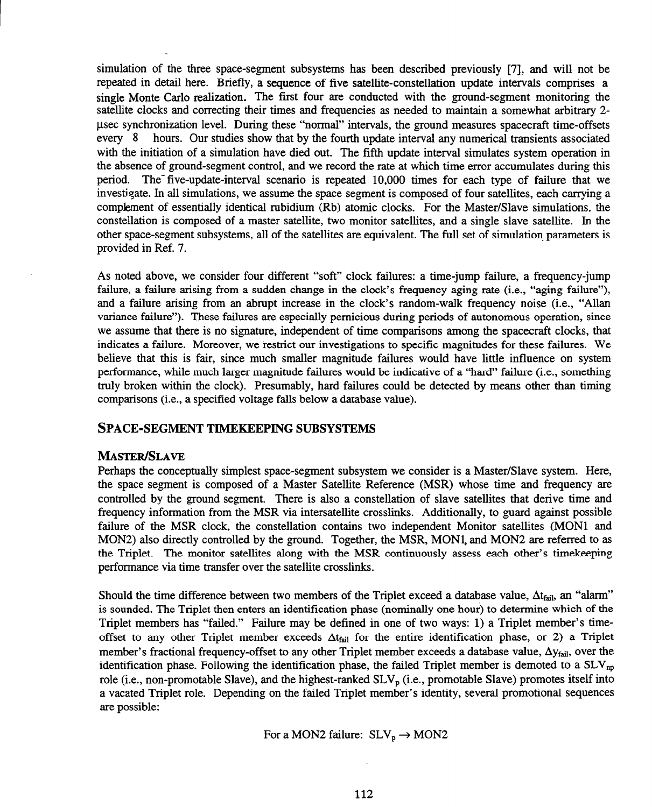simulation of the three space-segment subsystems has been described previously [7], and will not be repeated in detail here. Briefly, a sequence of five satellite-constellation update intervals comprises a single Monte Carlo realization. The first four are conducted with the ground-segment monitoring the satellite clocks and correcting their times and frequencies as needed to maintain a somewhat arbitrary 2 psec synchronization level. During these "normal" intervals, the ground measures spacecraft time-offsets every 8 hours. Our studies show that by the fourth update interval any numerical transients associated with the initiation of a simulation have died out. The fifth update interval simulates system operation in the absence of ground-segment control, and we record the rate at which time error accumulates during this period. The five-update-interval scenario is repeated 10,000 times for each type of failure that we investigate. In all simulations, we assume the space segment is composed of four satellites, each carrying a complement of essentially identical rubidium (Rb) atomic clocks. For the Master/Slave simulations, the constellation is composed of a master satellite, two monitor satellites, and a single slave satellite. In the other space-segment subsystems, all of the satellites are equivalent. The full set of simulation parameters is provided in Ref. 7.

As noted above, we consider four different "soft" clock failures: a time-jump failure, a frequency-jump failure, a failure arising from a sudden change in the clock's frequency aging rate (i.e., "aging failure"), and a failure arising from an abrupt increase in the clock's random-walk frequency noise (i.e., "Allan variance failure"). These failures are especially pernicious during periods of autonomous operation, since we assume that there is no signature, independent of time comparisons among the spacecraft clocks, that indicates a failure. Moreover, we restrict our investigations to specific magnitudes for these failures. We believe that this is fair, since much smaller magnitude failures would have little influence on system performance, while much larger magnitude failures would be indicative of a "hard" failure (i.e., something truly broken within the clock). Presumably, hard failures could be detected by means other than timing comparisons (i.e., a specified voltage falls below a database value).

### **SPACE-SEGMENT TIMEKEEPING SUBSYSTEMS**

#### **MASTER/SLAVE**

Perhaps the conceptually simplest space-segment subsystem we consider is a Master/Slave system. Here, the space segment is composed of a Master Satellite Reference (MSR) whose time and frequency are controlled by the ground segment. There is also a constellation of slave satellites that derive time and frequency information from the MSR via intersatellite crosslinks. Additionally, to guard against possible failure of the MSR clock, the constellation contains two independent Monitor satellites (MONl and MON2) also directly controlled by the ground. Together, the MSR, MONl, and MON2 are referred to as the Triplet. The monitor satellites along with the MSR continuously assess each other's timekeeping performance via time transfer over the satellite crosslinks.

Should the time difference between two members of the Triplet exceed a database value,  $\Delta t_{\text{fail}}$ , an "alarm" is sounded. The Triplet then enters an identification phase (nominally one hour) to determine which of the Triplet members has "failed." Failure may be defined in one of two ways: 1) a Triplet member's timeoffset to any other Triplet member exceeds  $\Delta t_{fail}$  for the entire identification phase, or 2) a Triplet member's fractional frequency-offset to any other Triplet member exceeds a database value,  $\Delta y_{fail}$ , over the identification phase. Following the identification phase, the failed Triplet member is demoted to a  $SLV_{np}$ role (i.e., non-promotable Slave), and the highest-ranked  $SLV<sub>n</sub>$  (i.e., promotable Slave) promotes itself into a vacated Triplet role. Depending on the failed Triplet member's identity, several promotional sequences are possible:

For a MON2 failure:  $SLV_p \rightarrow MON2$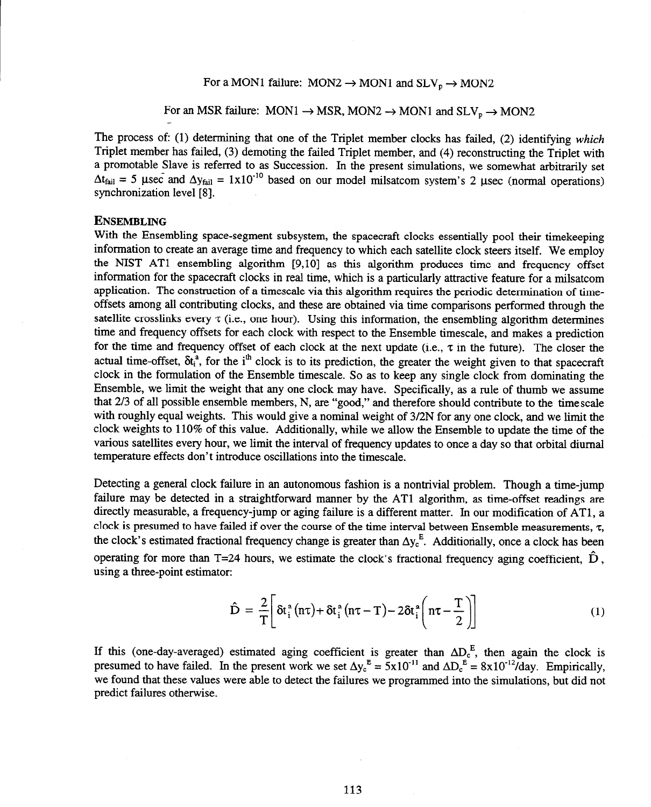For a MON1 failure:  $MON2 \rightarrow MON1$  and  $SLV_p \rightarrow MON2$ 

For an MSR failure:  $MON1 \rightarrow MSR$ ,  $MON2 \rightarrow MON1$  and  $SLV_p \rightarrow MON2$ 

The process of: (1) determining that one of the Triplet member clocks has failed, (2) identifying which Triplet member has failed, (3) demoting the failed Triplet member, and (4) reconstructing the Triplet with a promotable Slave is referred to as Succession. In the present simulations, we somewhat arbitrarily set  $\Delta t_{\text{fail}} = 5$  usec and  $\Delta y_{\text{fail}} = 1 \times 10^{-10}$  based on our model milsatcom system's 2 usec (normal operations) synchronization level [8].

#### **ENSEMBLING**

With the Ensembling space-segment subsystem, the spacecraft clocks essentially pool their timekeeping information to create an average time and frequency to which each satellite clock steers itself. We employ the NIST AT1 ensembling algorithm [9,10] as this algorithm produces time and frequency offset information for the spacecraft clocks in real time, which is a particularly attractive feature for a milsatcom application. The construction of a timescale via this algorithm requires the periodic determination of timeoffsets among all contributing clocks, and these are obtained via time comparisons performed through the satellite crosslinks every  $\tau$  (i.e., one hour). Using this information, the ensembling algorithm determines time and frequency offsets for each clock with respect to the Ensemble timescale, and makes a prediction for the time and frequency offset of each clock at the next update (i.e.,  $\tau$  in the future). The closer the actual time-offset,  $\delta t_i^a$ , for the i<sup>th</sup> clock is to its prediction, the greater the weight given to that spacecraft clock in the formulation of the Ensemble timescale. So as to keep any single clock from dominating the Ensemble, we limit the weight that any one clock may have. Specifically, as a rule of thumb we assume that 2/3 of all possible ensemble members, N, are "good," and therefore should contribute to the timescale with roughly equal weights. This would give a nominal weight of 3/2N for any one clock, and we limit the clock weights to 110% of this value. Additionally, while we allow the Ensemble to update the time of the various satellites every hour, we limit the interval of frequency updates to once a day so that orbital diurnal temperature effects don't introduce oscillations into the timescale.

Detecting a general clock failure in an autonomous fashion is a nontrivial problem. Though a time-jump failure may be detected in a straightforward manner by the AT1 algorithm, as time-offset readings are directly measurable, a frequency-jump or aging failure is a different matter. In our modification of ATl, a clock is presumed to have failed if over the course of the time interval between Ensemble measurements,  $\tau$ , the clock's estimated fractional frequency change is greater than  $\Delta y_c^E$ . Additionally, once a clock has been operating for more than T=24 hours, we estimate the clock's fractional frequency aging coefficient,  $\hat{D}$ , using a three-point estimator:

$$
\hat{\mathbf{D}} = \frac{2}{T} \bigg[ \delta t_i^a \left( n\tau \right) + \delta t_i^a \left( n\tau - T \right) - 2\delta t_i^a \left( n\tau - \frac{T}{2} \right) \bigg] \tag{1}
$$

If this (one-day-averaged) estimated aging coefficient is greater than  $\Delta D_c^{\dagger}$ , then again the clock is presumed to have failed. In the present work we set  $\Delta y_c^2 = 5x10^{-1}$  and  $\Delta D_c^2 = 8x10^{-12}$ /day. Empirically, we found that these values were able to detect the failures we programmed into the simulations, but did not predict failures otherwise.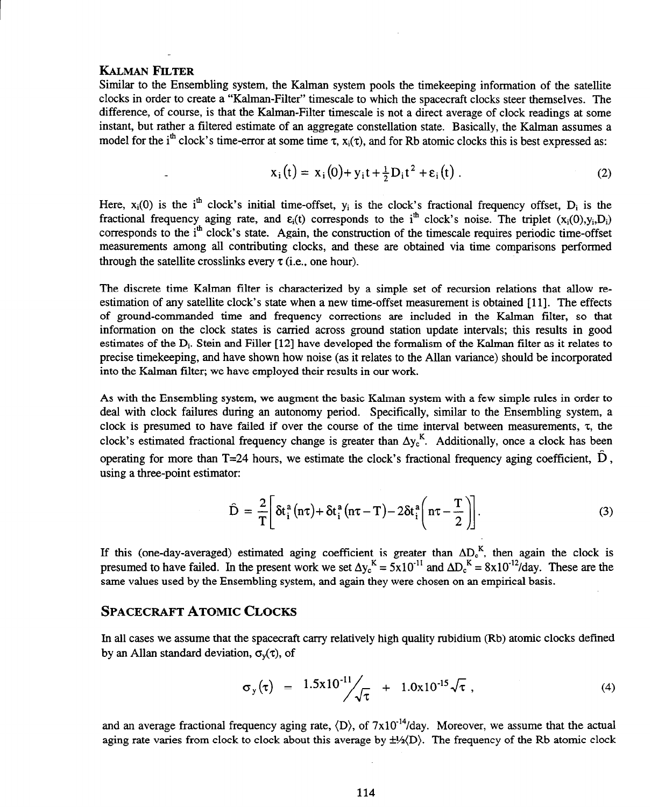# **KALMAN FILTER**

Similar to the Ensembling system, the Kalman system pools the timekeeping information of the satellite clocks in order to create a "Kalman-Filter" timescale to which the spacecraft clocks steer themselves. The difference, of course, is that the Kalman-Filter timescale is not a direct average of clock readings at some instant, but rather a filtered estimate of an aggregate constellation state. Basically, the Kalman assumes a model for the i<sup>th</sup> clock's time-error at some time  $\tau$ ,  $x_i(\tau)$ , and for Rb atomic clocks this is best expressed as:

$$
x_i(t) = x_i(0) + y_i t + \frac{1}{2} D_i t^2 + \varepsilon_i(t) .
$$
 (2)

Here,  $x_i(0)$  is the i<sup>th</sup> clock's initial time-offset,  $y_i$  is the clock's fractional frequency offset,  $D_i$  is the fractional frequency aging rate, and  $\varepsilon_i(t)$  corresponds to the i<sup>th</sup> clock's noise. The triplet  $(x_i(0), y_i, D_i)$ corresponds to the i<sup>th</sup> clock's state. Again, the construction of the timescale requires periodic time-offset measurements among all contributing clocks, and these are obtained via time comparisons performed through the satellite crosslinks every  $\tau$  (i.e., one hour).

The discrete time Kalman filter is characterized by a simple set of recursion relations that allow reestimation of any satellite clock's state when a new time-offset measurement is obtained **[l 11.** The effects of ground-commanded time and frequency corrections are included in the Kalman filter, so that information on the clock states is carried across ground station update intervals; this results in good estimates of the Di. Stein and Filler [12] have developed the formalism of the Kalman filter as it relates to precise timekeeping, and have shown how noise (as it relates to the Allan variance) should be incorporated into the Kalman filter; we have employed their results in our work.

As with the Ensembling system, we augment the basic Kalman system with a few simple rules in order to deal with clock failures during an autonomy period. Specifically, similar to the Ensembling system, a clock is presumed to have failed if over the course of the time interval between measurements,  $\tau$ , the clock's estimated fractional frequency change is greater than  $\Delta y_c^K$ . Additionally, once a clock has been operating for more than T=24 hours, we estimate the clock's fractional frequency aging coefficient,  $\hat{D}$ , using a three-point estimator:

$$
\hat{D} = \frac{2}{T} \left[ \delta t_i^a (n\tau) + \delta t_i^a (n\tau - T) - 2\delta t_i^a \left( n\tau - \frac{T}{2} \right) \right].
$$
\n(3)

If this (one-day-averaged) estimated aging coefficient is greater than  $\Delta D_c^R$ , then again the clock is presumed to have failed. In the present work we set  $\Delta y_c^2 = 5x10^{-1}$  and  $\Delta D_c^2 = 8x10^{-12}/day$ . These are the same values used by the Ensembling system, and again they were chosen on an empirical basis.

# **SPACECRAFT ATOMIC CLOCKS**

In all cases we assume that the spacecraft carry relatively high quality rubidium (Rb) atomic clocks defined by an Allan standard deviation,  $\sigma_{v}(\tau)$ , of

$$
\sigma_y(\tau) = 1.5x10^{-11} \sqrt{\tau} + 1.0x10^{-15} \sqrt{\tau} , \qquad (4)
$$

and an average fractional frequency aging rate,  $\langle D \rangle$ , of  $7 \times 10^{-14}$ /day. Moreover, we assume that the actual aging rate varies from clock to clock about this average by  $\pm\frac{1}{2}$ . The frequency of the Rb atomic clock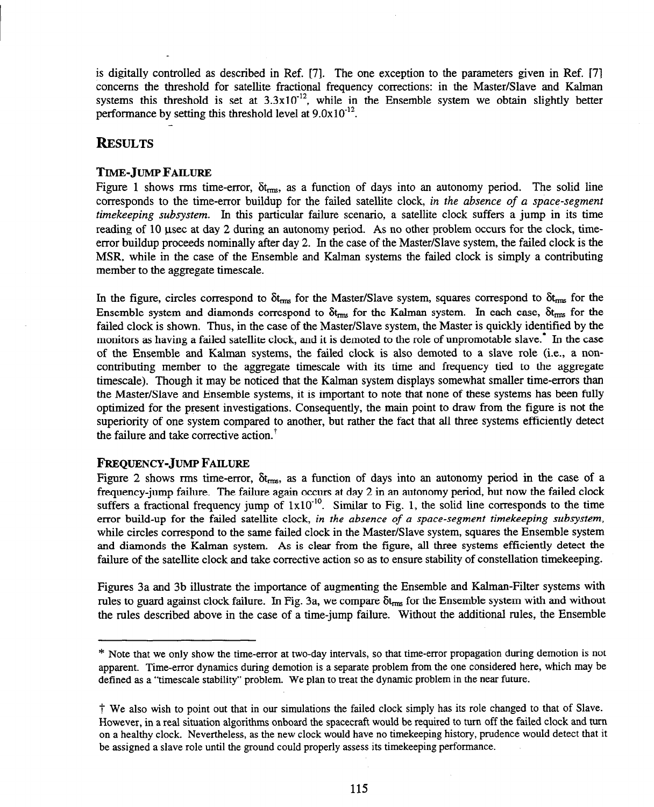is digitally controlled as described in Ref. [7]. The one exception to the parameters given in Ref. [7] concerns the threshold for satellite fractional frequency corrections: in the Master/Slave and Kalman systems this threshold is set at  $3.3x10^{-12}$ , while in the Ensemble system we obtain slightly better performance by setting this threshold level at  $9.0x10^{-12}$ .

# **RESULTS**

### **TIME-JUMP FAILURE**

Figure 1 shows rms time-error,  $\delta t_{\rm rms}$ , as a function of days into an autonomy period. The solid line corresponds to the time-error buildup for the failed satellite clock, in the absence of a space-segment *timekeeping subsystem. In* this particular failure scenario, a satellite clock suffers a jump in its time reading of 10 usec at day 2 during an autonomy period. As no other problem occurs for the clock, timeerror buildup proceeds nominally after day 2. In the case of the Master/Slave system, the failed clock is the MSR, while in the case of the Ensemble and Kalman systems the failed clock is simply a contributing member to the aggregate timescale.

In the figure, circles correspond to  $\delta t_{rms}$  for the Master/Slave system, squares correspond to  $\delta t_{rms}$  for the Ensemble system and diamonds correspond to  $\delta t_{rms}$  for the Kalman system. In each case,  $\delta t_{rms}$  for the failed clock is shown. Thus, in the case of the Master/Slave system, the Master is quickly identified by the monitors as having a failed satellite clock, and it is demoted to the role of unpromotable slave.\* In the case of the Ensemble and Kalman systems, the failed clock is also demoted to a slave role (i.e., a noncontributing member to the aggregate timescale with its time and frequency tied to the aggregate timescale). Though it may be noticed that the Kalman system displays somewhat smaller time-errors than the Master/Slave and Ensemble systems, it is important to note that none of these systems has been fully optimized for the present investigations. Consequently, the main point to draw from the figure is not the superiority of one system compared to another, but rather the fact that all three systems efficiently detect the failure and take corrective action.<sup>†</sup>

# **FREQUENCY-JUMP FAILURE**

Figure 2 shows rms time-error,  $\delta t_{\rm rms}$ , as a function of days into an autonomy period in the case of a frequency-jump failure. The failure again occurs at day 2 in an autonomy period, but now the failed clock suffers a fractional frequency jump of  $1x10^{-10}$ . Similar to Fig. 1, the solid line corresponds to the time error build-up for the failed satellite clock, *in the ubsence of a space-segment timekeeping subsystem,*  while circles correspond to the same failed clock in the Master/Slave system, squares the Ensemble system and diamonds the Kalman system. As is clear from the figure, all three systems efficiently detect the failure of the satellite clock and take corrective action so as to ensure stability of constellation timekeeping.

Figures 3a and 3b illustrate the importance of augmenting the Ensemble and Kalman-Filter systems with rules to guard against clock failure. In Fig. 3a, we compare  $\delta t_{rms}$  for the Ensemble system with and without the rules described above in the case of a time-jump failure. Without the additional rules, the Ensemble

<sup>\*</sup> Note that we only show the time-error at two-day intervals, so that time-error propagation during demotion is not apparent. Time-error dynamics during demotion is a separate problem from the one considered here, which may be defined as a "timescale stability" problem. We plan to treat the dynamic problem in the near future.

<sup>7</sup> We also wish to point out that in our simulations the failed clock simply has its role changed to that of Slave. However, in a real situation algorithms onboard the spacecraft would be required to turn off the failed clock and turn on a healthy clock. Nevertheless, as the new clock would have no timekeeping history, prudence would detect that it be assigned a slave role until the ground could properly assess its timekeeping performance.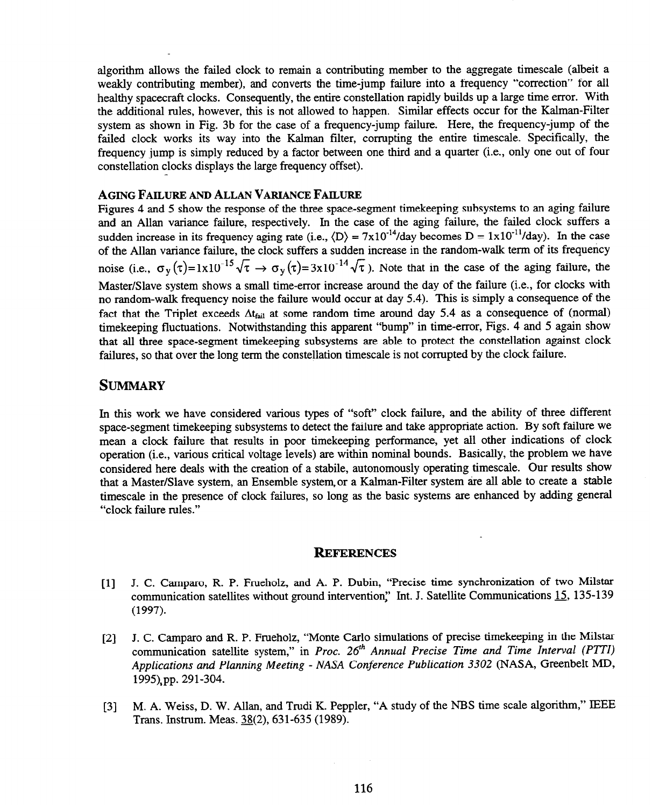algorithm allows the failed clock to remain a contributing member to the aggregate timescale (albeit a weakly contributing member), and converts the time-jump failure into a frequency "correction" for all healthy spacecraft clocks. Consequently, the entire constellation rapidly builds up a large time error. With the additional rules, however, this is not allowed to happen. Similar effects occur for the Kalman-Filter system as shown in Fig. 3b for the case of a frequency-jump failure. Here, the frequency-jump of the failed clock works its way into the Kalman filter, corrupting the entire timescale. Specifically, the frequency jump is simply reduced by a factor between one third and a quarter (i.e., only one out of four constellation clocks displays the large frequency offset).

#### **AGINGFAILUREANDALLANVARIANCEFAILURE**

Figures 4 and 5 show the response of the three space-segment timekeeping subsystems to an aging failure and an Allan variance failure, respectively. In the case of the aging failure, the failed clock suffers a sudden increase in its frequency aging rate (i.e.,  $\langle D \rangle = 7 \times 10^{-14}$ /day becomes  $D = 1 \times 10^{-11}$ /day). In the case of the Allan variance failure, the clock suffers a sudden increase in the random-walk term of its frequency noise (i.e.,  $\sigma_y(\tau) = 1x10^{-15}\sqrt{\tau} \rightarrow \sigma_y(\tau) = 3x10^{-14}\sqrt{\tau}$ ). Note that in the case of the aging failure, the Master/Slave system shows a small time-error increase around the day of the failure (i.e., for clocks with no random-walk frequency noise the failure would occur at day 5.4). This is simply a consequence of the fact that the Triplet exceeds  $\Delta t_{fail}$  at some random time around day 5.4 as a consequence of (normal) timekeeping fluctuations. Notwithstanding this apparent "bump" in time-error, Figs. 4 and 5 again show that all three space-segment timekeeping subsystems are able to protect the constellation against clock failures, so that over the long term the constellation timescale is not corrupted by the clock failure.

# **SUMMARY**

In this work we have considered various types of "soft" clock failure, and the ability of three different space-segment timekeeping subsystems to detect the failure and take appropriate action. By soft failure we mean a clock failure that results in poor timekeeping performance, yet all other indications of clock operation (i.e., various critical voltage levels) are within nominal bounds. Basically, the problem we have considered here deals with the creation of a stabile, autonomously operating timescale. Our results show that a Master/Slave system, an Ensemble system or a Kalman-Filter system are all able to create a stable timescale in the presence of clock failures, so long as the basic systems are enhanced by adding general "clock failure rules."

#### **REFERENCES**

- [l] J. C. Camparo, R. P. Frueholz, and A. P. Dubin, "Precise time synchronization of two Milstar communication satellites without ground intervention," Int. J. Satellite Communications 15, 135-139 (1997).
- [2] J. C. Camparo and R. P. Frueholz, "Monte Carlo simulations of precise timekeeping in the Milstar communication satellite system," in *Proc.* 26<sup>th</sup> *Annual Precise Time and Time Interval (PTTI) Applications and Planning Meeting - NASA Conference Publication 3302* (NASA, Greenbelt MD, 1995),pp. 291-304.
- *[3]* M. A. Weiss, D. W. Allan, and Trudi K. Peppler, "A study of the NBS time scale algorithm," IEEE Trans. Instrum. Meas.  $38(2)$ , 631-635 (1989).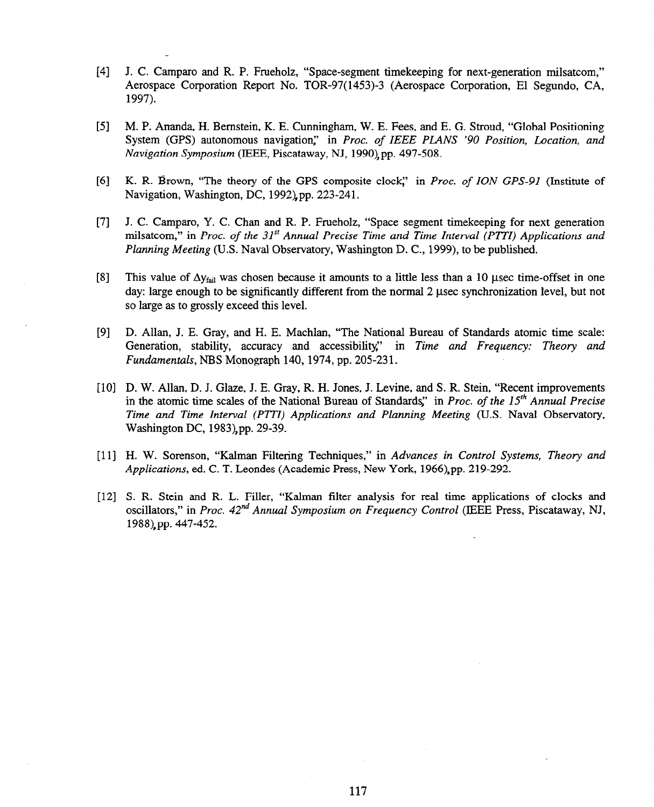- 141 J. C. Camparo and R. P. Frueholz, "Space-segment timekeeping for next-generation milsatcom," Aerospace Corporation Report No. TOR-97(1453)-3 (Aerospace Corporation, El Segundo, CA, 1997).
- [51 M. P. Ananda, H. Bernstein, K. E. Cunningham, W. E. Fees, and E. G. Stroud, "Global Positioning System (GPS) autonomous navigation," in *Proc. of IEEE PLANS '90 Position, Location, and Navigation Symposium* (IEEE, Piscataway, NJ, 199O),pp. 497-508.
- $[6]$ K. R. Brown, "The theory of the GPS composite clocg' in *Proc. of ION GPS-91* (Institute of Navigation, Washington, DC, 1992),pp. 223-241.
- 171 J. C. Camparo, Y. C. Chan and R. P. Frueholz, "Space segment timekeeping for next generation milsatcom," in *Proc. of the* 31"' *Annual Precise Time and Time Interval (PITI) Applications and Planning Meeting* (U.S. Naval Observatory, Washington D. C., 1999), to be published.
- $[8]$ This value of  $\Delta y_{fail}$  was chosen because it amounts to a little less than a 10 usec time-offset in one day: large enough to be significantly different from the normal 2 usec synchronization level, but not so large as to grossly exceed this level.
- $[9]$ D. Allan, J. E. Gray, and H. E. Machlan, "The National Bureau of Standards atomic time scale: Generation, stability, accuracy and accessibility," in *Time and Frequency: Theory and Fundamentals, NBS* Monograph 140, 1974, pp. 205-231.
- [10] D. W. Allan, D. J. Glaze, J. E. Gray, R. H. Jones, J. Levine, and S. R. Stein, "Recent improvement in the atomic time scales of the National Bureau of Standards," in *Proc. of the 15<sup>th</sup> Annual Precise Time and Time Interval (PTTI) Applications and Planning Meeting* (U.S. Naval Observatory, Washington DC, 1983),pp. 29-39.
- [11] H. W. Sorenson, "Kalman Filtering Techniques," in *Advances in Control Systems, Theory and Applications,* ed. C. T. Leondes (Academic Press, New York, 1966),pp. 219-292.
- [12] S. R. Stein and R. L. Filler, "Kalman filter analysis for real time applications of clocks and oscillators," in *Proc. 42<sup>na</sup> Annual Symposium on Frequency Control* (IEEE Press, Piscataway, NJ, 1988),pp. 447-452.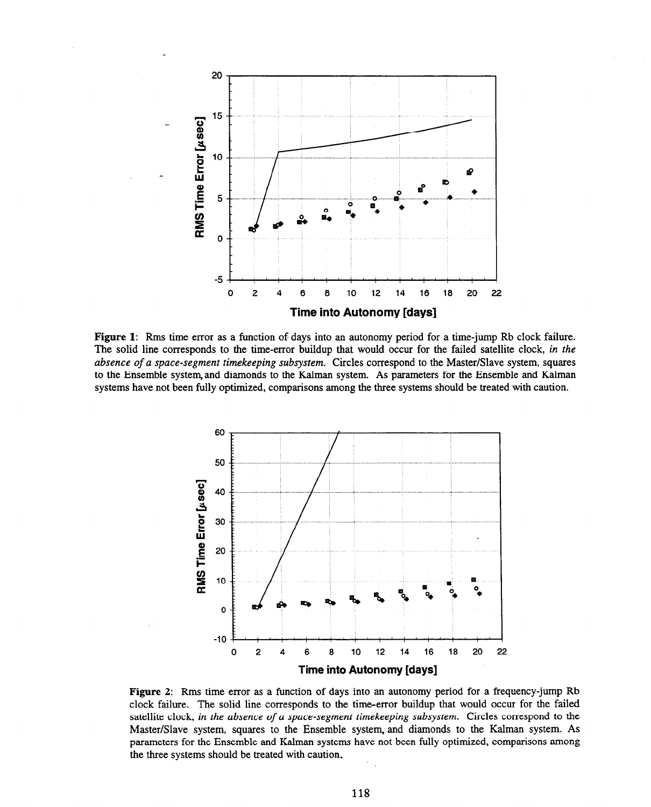

**Figure 1: Rms** time error as a function of days into an autonomy period for a time-jump Rb clock failure. The solid line corresponds to the time-error buildup that would occur for the failed satellite clock, in the *absence of a space-segment timekeeping subsystem. Circles* correspond to the Master/Slave system, squares to the Ensemble system and diamonds to the Kalman system. As parameters for the Ensemble and Kalman systems have not been fully optimized, comparisons among the three systems should be treated with caution.



**Figure 2: Rms** time error as a function of days into an autonomy period for a frequency-jump Rb clock failure. The solid line corresponds to the time-error buildup that would occur for the failed satellite clock, *in the absence of a space-segment timekeeping subsystem.* Circles correspond to the Master/Slave system, squares to the Ensemble system, and diamonds to the Kalman system. As parameters for the Ensemble and Kalman systems have not been fully optimized, comparisons among the three systems should be treated with caution.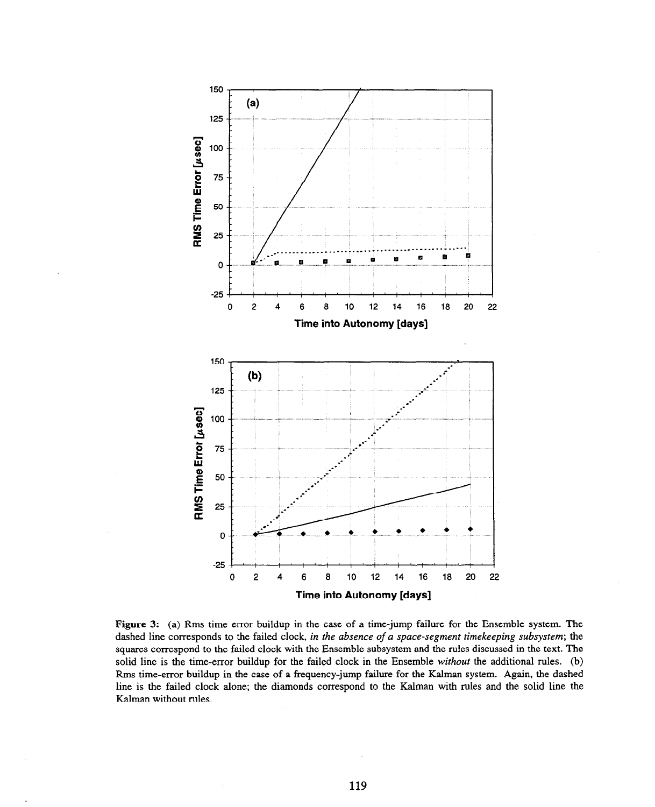

**Figure 3:** (a) Rms time error buildup in the case of a time-jump failure for the Ensemble system. The dashed line corresponds to the failed clock, *in the absence of a space-segment timekeeping subsystem; the*  squares correspond to the failed clock with the Ensemble subsystem and the rules discussed in the text. The solid line is the time-error buildup for the failed clock in the Ensemble *without the* additional rules. (b) Rms time-error buildup in the case of a frequency-jump failure for the Kalman system. Again, the dashed line is the failed clock alone; the diamonds correspond to the Kalman with rules and the solid line the Kalman without rules.